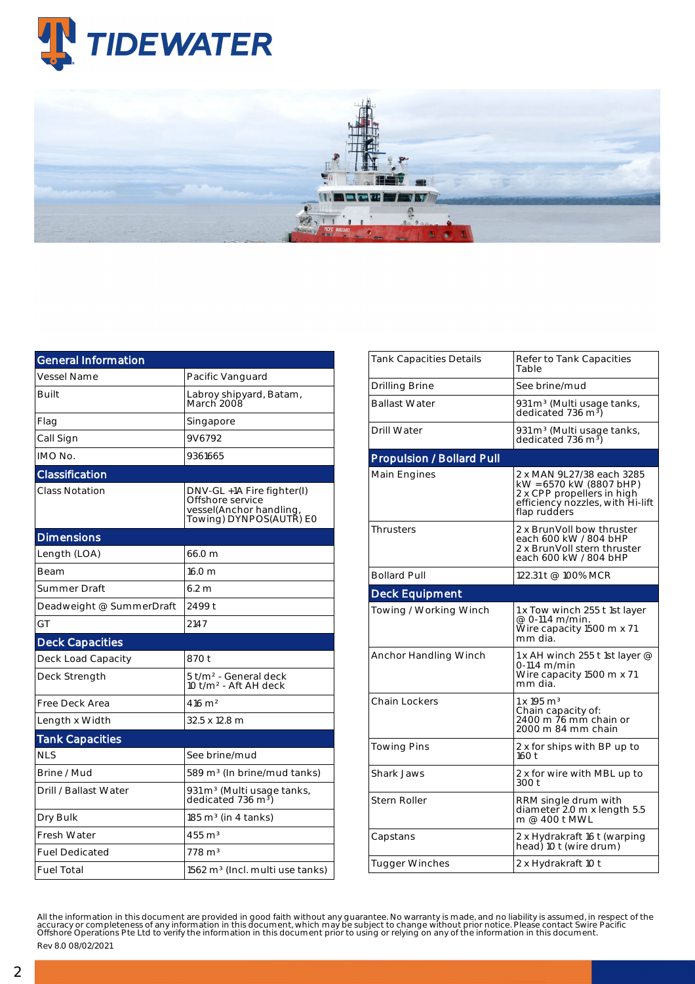

| <b>General Information</b> |                                                                                                      |  |  |  |  |
|----------------------------|------------------------------------------------------------------------------------------------------|--|--|--|--|
| Vessel Name                | Pacific Vanguard                                                                                     |  |  |  |  |
| <b>Built</b>               | Labroy shipyard, Batam,<br>March 2008                                                                |  |  |  |  |
| Flag                       | Singapore                                                                                            |  |  |  |  |
| Call Sign                  | 9V6792                                                                                               |  |  |  |  |
| IMO No.                    | 9361665                                                                                              |  |  |  |  |
| Classification             |                                                                                                      |  |  |  |  |
| <b>Class Notation</b>      | DNV-GL +1A Fire fighter(I)<br>Offshore service<br>vessel(Anchor handling,<br>Towing) DYNPOS(AUTŘ) E0 |  |  |  |  |
| <b>Dimensions</b>          |                                                                                                      |  |  |  |  |
| Length (LOA)               | 66.0 m                                                                                               |  |  |  |  |
| Beam                       | 16.0 m                                                                                               |  |  |  |  |
| Summer Draft               | 6.2 m                                                                                                |  |  |  |  |
| Deadweight @ SummerDraft   | 2499 t                                                                                               |  |  |  |  |
| GT                         | 2147                                                                                                 |  |  |  |  |
| <b>Deck Capacities</b>     |                                                                                                      |  |  |  |  |
| Deck Load Capacity         | 870 t                                                                                                |  |  |  |  |
| Deck Strength              | 5 t/m <sup>2</sup> - General deck<br>10 t/m <sup>2</sup> - Aft AH deck                               |  |  |  |  |
| Free Deck Area             | $416 \; \mathrm{m}^2$                                                                                |  |  |  |  |
| Length x Width             | 32.5 x 12.8 m                                                                                        |  |  |  |  |
| <b>Tank Capacities</b>     |                                                                                                      |  |  |  |  |
| <b>NLS</b>                 | See brine/mud                                                                                        |  |  |  |  |
| Brine / Mud                | 589 m <sup>3</sup> (In brine/mud tanks)                                                              |  |  |  |  |
| Drill / Ballast Water      | 931 m <sup>3</sup> (Multi usage tanks,<br>dedicated 736 m <sup>3</sup> )                             |  |  |  |  |
| Dry Bulk                   | $185 \text{ m}^3$ (in 4 tanks)                                                                       |  |  |  |  |
| <b>Fresh Water</b>         | $455 \text{ m}^3$                                                                                    |  |  |  |  |
| <b>Fuel Dedicated</b>      | $778 \text{ m}^3$                                                                                    |  |  |  |  |
| <b>Fuel Total</b>          | 1562 m <sup>3</sup> (Incl. multi use tanks)                                                          |  |  |  |  |

| Tank Capacities Details          | Refer to Tank Capacities<br>Table                                                                                                      |  |  |  |  |
|----------------------------------|----------------------------------------------------------------------------------------------------------------------------------------|--|--|--|--|
| Drilling Brine                   | See brine/mud                                                                                                                          |  |  |  |  |
| <b>Ballast Water</b>             | 931 m <sup>3</sup> (Multi usage tanks,<br>dedicated 736 m <sup>3</sup> )                                                               |  |  |  |  |
| Drill Water                      | 931 m <sup>3</sup> (Multi usage tanks,<br>dedicated 736 m <sup>3</sup> )                                                               |  |  |  |  |
| <b>Propulsion / Bollard Pull</b> |                                                                                                                                        |  |  |  |  |
| Main Engines                     | 2 x MAN 9L27/38 each 3285<br>kW = 6570 kW (8807 bHP)<br>2 x CPP propellers in high<br>efficiency nozzles, with Hi-lift<br>flap rudders |  |  |  |  |
| <b>Thrusters</b>                 | 2 x BrunVoll bow thruster<br>each 600 kW / 804 bHP<br>2 x BrunVoll stern thruster<br>each 600 kW / 804 bHP                             |  |  |  |  |
| <b>Bollard Pull</b>              | 122.31 t @ 100% MCR                                                                                                                    |  |  |  |  |
| <b>Deck Equipment</b>            |                                                                                                                                        |  |  |  |  |
| Towing / Working Winch           | 1 x Tow winch 255 t 1st layer<br>@ 0-11.4 m/min.<br>Wire capacity 1500 m x 71<br>mm dia.                                               |  |  |  |  |
| Anchor Handling Winch            | 1 x AH winch 255 t 1st layer $@$<br>$0-11.4$ m/min<br>Wire capacity 1500 m x 71<br>mm dia.                                             |  |  |  |  |
| <b>Chain Lockers</b>             | $1 \times 195$ m <sup>3</sup><br>Chain capacity of:<br>2400 m 76 mm chain or<br>2000 m 84 mm chain                                     |  |  |  |  |
| Towing Pins                      | 2 x for ships with BP up to<br>160t                                                                                                    |  |  |  |  |
| Shark Jaws                       | 2 x for wire with MBL up to<br>300 t                                                                                                   |  |  |  |  |
| Stern Roller                     | RRM single drum with<br>diameter 2.0 m x length 5.5<br>m @ 400 t MWL                                                                   |  |  |  |  |
| Capstans                         | 2 x Hydrakraft 16 t (warping<br>head) 10 t (wire drum)                                                                                 |  |  |  |  |
| <b>Tugger Winches</b>            | 2 x Hydrakraft 10 t                                                                                                                    |  |  |  |  |

All the information in this document are provided in good faith without any guarantee. No warranty is made, and no liability is assumed, in respect of the<br>accuracy or completeness of any information in this document, which

Rev 8.0 08/02/2021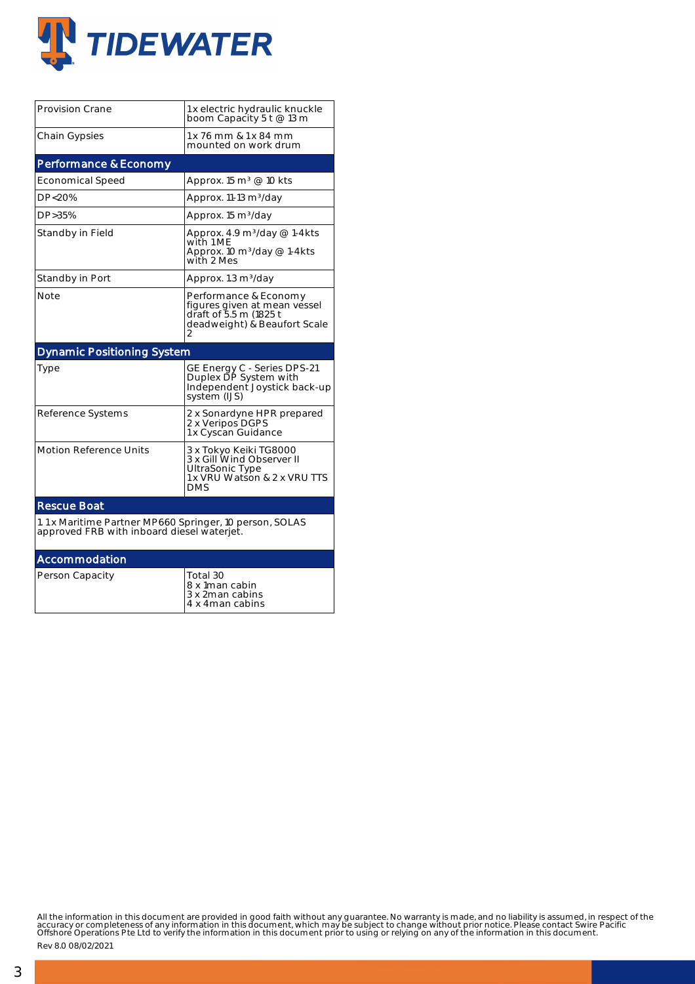

| <b>Provision Crane</b>                                                                                | 1 x electric hydraulic knuckle<br>boom Capacity 5 t @ 13 m                                                           |  |  |  |  |  |
|-------------------------------------------------------------------------------------------------------|----------------------------------------------------------------------------------------------------------------------|--|--|--|--|--|
| Chain Gypsies                                                                                         | 1 x 76 mm & 1 x 84 mm<br>mounted on work drum                                                                        |  |  |  |  |  |
| Performance & Economy                                                                                 |                                                                                                                      |  |  |  |  |  |
| <b>Economical Speed</b>                                                                               | Approx. 15 m <sup>3</sup> @ 10 kts                                                                                   |  |  |  |  |  |
| DP<20%                                                                                                | Approx. 11-13 m <sup>3</sup> /day                                                                                    |  |  |  |  |  |
| DP>35%                                                                                                | Approx. 15 m <sup>3</sup> /day                                                                                       |  |  |  |  |  |
| Standby in Field                                                                                      | Approx. 4.9 m <sup>3</sup> /day @ 1-4kts<br>with 1 ME<br>Approx. 10 $m^3$ /day @ 1-4kts<br>with 2 Mes                |  |  |  |  |  |
| Standby in Port                                                                                       | Approx. 1.3 m <sup>3</sup> /day                                                                                      |  |  |  |  |  |
| Note                                                                                                  | Performance & Economy<br>figures given at mean vessel<br>draft of 5.5 m (1825 t<br>deadweight) & Beaufort Scale<br>2 |  |  |  |  |  |
| <b>Dynamic Positioning System</b>                                                                     |                                                                                                                      |  |  |  |  |  |
| Type                                                                                                  | GE Energy C - Series DPS-21<br>Duplex DP System with<br>Independent Joystick back-up<br>system (IJS)                 |  |  |  |  |  |
| Reference Systems                                                                                     | 2 x Sonardyne HPR prepared<br>2 x Veripos DGPS<br>1 x Cyscan Guidance                                                |  |  |  |  |  |
| <b>Motion Reference Units</b>                                                                         | 3 x Tokyo Keiki TG8000<br>3 x Gill Wind Observer II<br>UltraSonic Type<br>1 x VRU Watson & 2 x VRU TTS<br>DMS        |  |  |  |  |  |
| <b>Rescue Boat</b>                                                                                    |                                                                                                                      |  |  |  |  |  |
| 1.1 x Maritime Partner MP660 Springer, 10 person, SOLAS<br>approved FRB with inboard diesel waterjet. |                                                                                                                      |  |  |  |  |  |
| Accommodation                                                                                         |                                                                                                                      |  |  |  |  |  |
| Person Capacity                                                                                       | Total 30<br>8 x 1man cabin<br>3 x 2man cabins<br>4 x 4 man cabins                                                    |  |  |  |  |  |

All the information in this document are provided in good faith without any guarantee. No warranty is made, and no liability is assumed, in respect of the<br>accuracy or completeness of any information in this document, which

Rev 8.0 08/02/2021